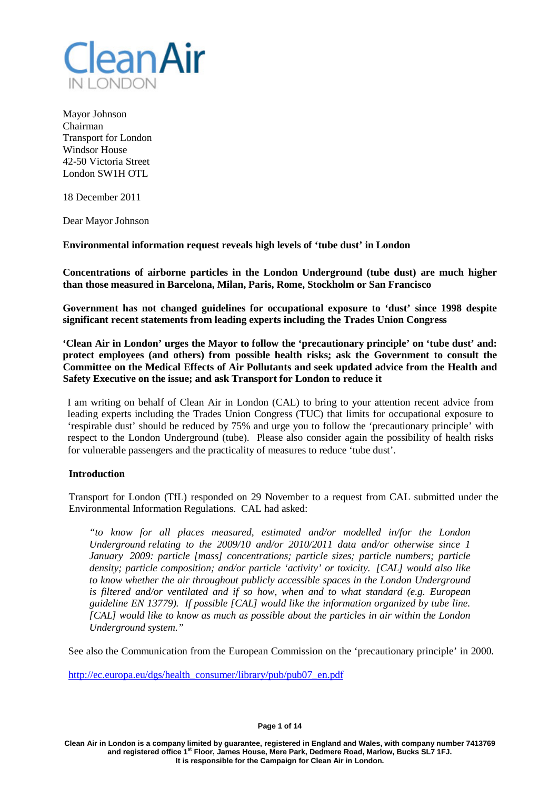

Mayor Johnson Chairman Transport for London Windsor House 42-50 Victoria Street London SW1H OTL

18 December 2011

Dear Mayor Johnson

**Environmental information request reveals high levels of 'tube dust' in London**

**Concentrations of airborne particles in the London Underground (tube dust) are much higher than those measured in Barcelona, Milan, Paris, Rome, Stockholm or San Francisco**

**Government has not changed guidelines for occupational exposure to 'dust' since 1998 despite significant recent statements from leading experts including the Trades Union Congress**

**'Clean Air in London' urges the Mayor to follow the 'precautionary principle' on 'tube dust' and: protect employees (and others) from possible health risks; ask the Government to consult the Committee on the Medical Effects of Air Pollutants and seek updated advice from the Health and Safety Executive on the issue; and ask Transport for London to reduce it**

I am writing on behalf of Clean Air in London (CAL) to bring to your attention recent advice from leading experts including the Trades Union Congress (TUC) that limits for occupational exposure to 'respirable dust' should be reduced by 75% and urge you to follow the 'precautionary principle' with respect to the London Underground (tube). Please also consider again the possibility of health risks for vulnerable passengers and the practicality of measures to reduce 'tube dust'.

### **Introduction**

Transport for London (TfL) responded on 29 November to a request from CAL submitted under the Environmental Information Regulations. CAL had asked:

*"to know for all places measured, estimated and/or modelled in/for the London Underground relating to the 2009/10 and/or 2010/2011 data and/or otherwise since 1 January 2009: particle [mass] concentrations; particle sizes; particle numbers; particle density; particle composition; and/or particle 'activity' or toxicity. [CAL] would also like to know whether the air throughout publicly accessible spaces in the London Underground is filtered and/or ventilated and if so how, when and to what standard (e.g. European guideline EN 13779). If possible [CAL] would like the information organized by tube line. [CAL] would like to know as much as possible about the particles in air within the London Underground system."*

See also the Communication from the European Commission on the 'precautionary principle' in 2000.

[http://ec.europa.eu/dgs/health\\_consumer/library/pub/pub07\\_en.pdf](http://ec.europa.eu/dgs/health_consumer/library/pub/pub07_en.pdf)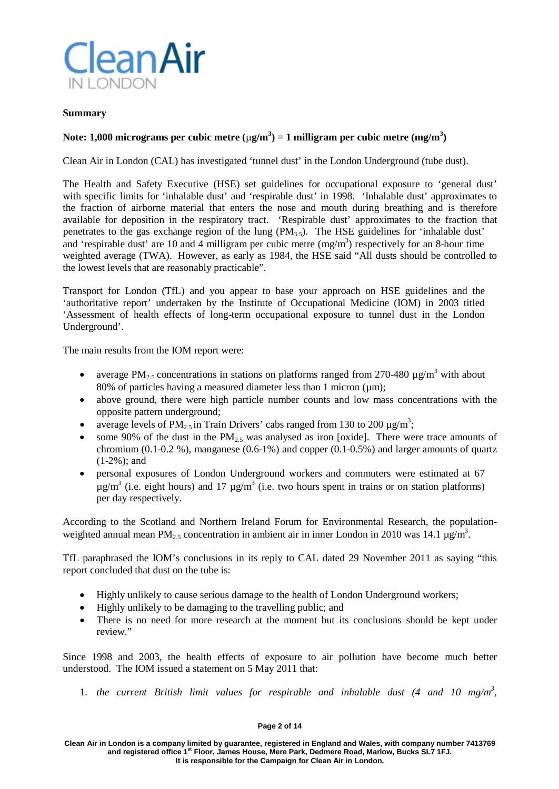

### **Summary**

# **Note: 1,000 micrograms per cubic metre (**µ**g/m<sup>3</sup> ) = 1 milligram per cubic metre (mg/m<sup>3</sup> )**

Clean Air in London (CAL) has investigated 'tunnel dust' in the London Underground (tube dust).

The Health and Safety Executive (HSE) set guidelines for occupational exposure to 'general dust' with specific limits for 'inhalable dust' and 'respirable dust' in 1998. 'Inhalable dust' approximates to the fraction of airborne material that enters the nose and mouth during breathing and is therefore available for deposition in the respiratory tract. 'Respirable dust' approximates to the fraction that penetrates to the gas exchange region of the lung (PM3.5). The HSE guidelines for 'inhalable dust' and 'respirable dust' are 10 and 4 milligram per cubic metre  $(mg/m<sup>3</sup>)$  respectively for an 8-hour time weighted average (TWA). However, as early as 1984, the HSE said "All dusts should be controlled to the lowest levels that are reasonably practicable".

Transport for London (TfL) and you appear to base your approach on HSE guidelines and the 'authoritative report' undertaken by the Institute of Occupational Medicine (IOM) in 2003 titled 'Assessment of health effects of long-term occupational exposure to tunnel dust in the London Underground'.

The main results from the IOM report were:

- average PM<sub>2.5</sub> concentrations in stations on platforms ranged from 270-480  $\mu$ g/m<sup>3</sup> with about 80% of particles having a measured diameter less than 1 micron  $(\mu m)$ ;
- above ground, there were high particle number counts and low mass concentrations with the opposite pattern underground;
- average levels of PM<sub>2.5</sub> in Train Drivers' cabs ranged from 130 to 200  $\mu$ g/m<sup>3</sup>;
- some 90% of the dust in the  $PM_{2.5}$  was analysed as iron [oxide]. There were trace amounts of chromium  $(0.1-0.2\%)$ , manganese  $(0.6-1\%)$  and copper  $(0.1-0.5\%)$  and larger amounts of quartz (1-2%); and
- personal exposures of London Underground workers and commuters were estimated at 67  $\mu$ g/m<sup>3</sup> (i.e. eight hours) and 17  $\mu$ g/m<sup>3</sup> (i.e. two hours spent in trains or on station platforms) per day respectively.

According to the Scotland and Northern Ireland Forum for Environmental Research, the populationweighted annual mean PM<sub>2.5</sub> concentration in ambient air in inner London in 2010 was 14.1  $\mu$ g/m<sup>3</sup>.

TfL paraphrased the IOM's conclusions in its reply to CAL dated 29 November 2011 as saying "this report concluded that dust on the tube is:

- Highly unlikely to cause serious damage to the health of London Underground workers;
- Highly unlikely to be damaging to the travelling public; and
- There is no need for more research at the moment but its conclusions should be kept under review."

Since 1998 and 2003, the health effects of exposure to air pollution have become much better understood. The IOM issued a statement on 5 May 2011 that:

1. the current British limit values for respirable and inhalable dust  $(4 \text{ and } 10 \text{ mg/m}^3)$ ,

#### **Page 2 of 14**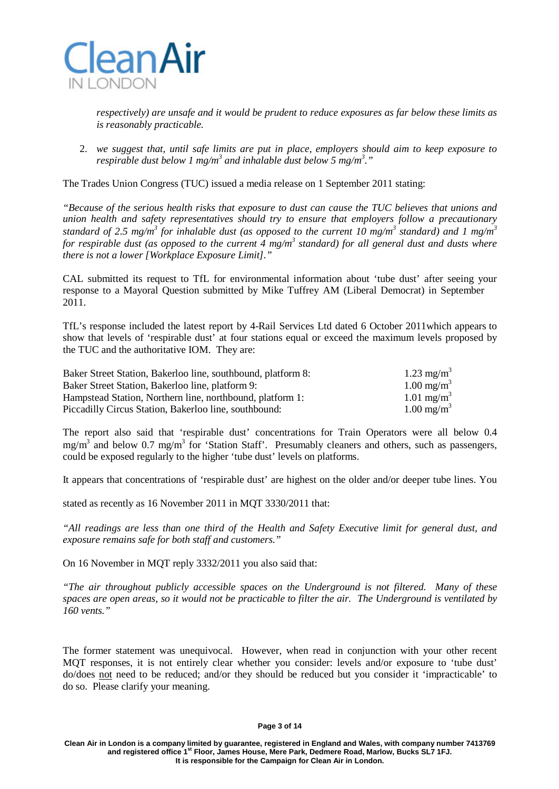

*respectively) are unsafe and it would be prudent to reduce exposures as far below these limits as is reasonably practicable.*

2. *we suggest that, until safe limits are put in place, employers should aim to keep exposure to respirable dust below 1 mg/m <sup>3</sup> and inhalable dust below 5 mg/m 3 ."*

The Trades Union Congress (TUC) issued a media release on 1 September 2011 stating:

*"Because of the serious health risks that exposure to dust can cause the TUC believes that unions and union health and safety representatives should try to ensure that employers follow a precautionary*  standard of 2.5 mg/m<sup>3</sup> for inhalable dust (as opposed to the current 10 mg/m<sup>3</sup> standard) and 1 mg/m<sup>3</sup> for respirable dust (as opposed to the current 4 mg/m<sup>3</sup> standard) for all general dust and dusts where *there is not a lower [Workplace Exposure Limit]."*

CAL submitted its request to TfL for environmental information about 'tube dust' after seeing your response to a Mayoral Question submitted by Mike Tuffrey AM (Liberal Democrat) in September 2011.

TfL's response included the latest report by 4-Rail Services Ltd dated 6 October 2011which appears to show that levels of 'respirable dust' at four stations equal or exceed the maximum levels proposed by the TUC and the authoritative IOM. They are:

| Baker Street Station, Bakerloo line, southbound, platform 8: | 1.23 mg/m <sup>3</sup> |
|--------------------------------------------------------------|------------------------|
| Baker Street Station, Bakerloo line, platform 9:             | $1.00 \text{ mg/m}^3$  |
| Hampstead Station, Northern line, northbound, platform 1:    | 1.01 mg/m <sup>3</sup> |
| Piccadilly Circus Station, Bakerloo line, southbound:        | $1.00 \text{ mg/m}^3$  |

The report also said that 'respirable dust' concentrations for Train Operators were all below 0.4  $mg/m<sup>3</sup>$  and below 0.7 mg/m<sup>3</sup> for 'Station Staff'. Presumably cleaners and others, such as passengers, could be exposed regularly to the higher 'tube dust' levels on platforms.

It appears that concentrations of 'respirable dust' are highest on the older and/or deeper tube lines. You

stated as recently as 16 November 2011 in MQT 3330/2011 that:

*"All readings are less than one third of the Health and Safety Executive limit for general dust, and exposure remains safe for both staff and customers."*

On 16 November in MQT reply 3332/2011 you also said that:

*"The air throughout publicly accessible spaces on the Underground is not filtered. Many of these spaces are open areas, so it would not be practicable to filter the air. The Underground is ventilated by 160 vents."*

The former statement was unequivocal. However, when read in conjunction with your other recent MQT responses, it is not entirely clear whether you consider: levels and/or exposure to 'tube dust' do/does not need to be reduced; and/or they should be reduced but you consider it 'impracticable' to do so. Please clarify your meaning.

#### **Page 3 of 14**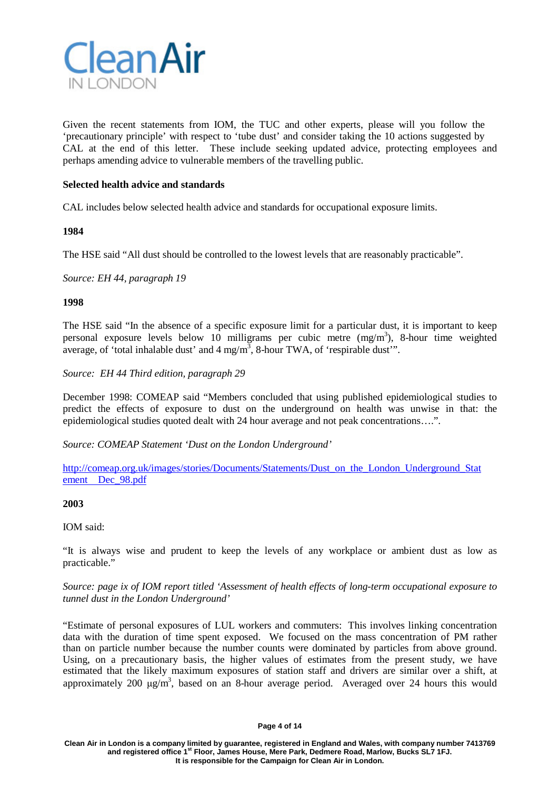

Given the recent statements from IOM, the TUC and other experts, please will you follow the 'precautionary principle' with respect to 'tube dust' and consider taking the 10 actions suggested by CAL at the end of this letter. These include seeking updated advice, protecting employees and perhaps amending advice to vulnerable members of the travelling public.

### **Selected health advice and standards**

CAL includes below selected health advice and standards for occupational exposure limits.

### **1984**

The HSE said "All dust should be controlled to the lowest levels that are reasonably practicable".

*Source: EH 44, paragraph 19*

### **1998**

The HSE said "In the absence of a specific exposure limit for a particular dust, it is important to keep personal exposure levels below 10 milligrams per cubic metre  $(mg/m<sup>3</sup>)$ , 8-hour time weighted average, of 'total inhalable dust' and  $4 \text{ mg/m}^3$ , 8-hour TWA, of 'respirable dust'".

*Source: EH 44 Third edition, paragraph 29*

December 1998: COMEAP said "Members concluded that using published epidemiological studies to predict the effects of exposure to dust on the underground on health was unwise in that: the epidemiological studies quoted dealt with 24 hour average and not peak concentrations….".

*Source: COMEAP Statement 'Dust on the London Underground'*

[http://comeap.org.uk/images/stories/Documents/Statements/Dust\\_on\\_the\\_London\\_Underground\\_Stat](http://comeap.org.uk/images/stories/Documents/Statements/Dust_on_the_London_Underground_Statement__Dec_98.pdf) [ement Dec\\_98.pdf](http://comeap.org.uk/images/stories/Documents/Statements/Dust_on_the_London_Underground_Statement__Dec_98.pdf)

### **2003**

### IOM said:

"It is always wise and prudent to keep the levels of any workplace or ambient dust as low as practicable."

### *Source: page ix of IOM report titled 'Assessment of health effects of long-term occupational exposure to tunnel dust in the London Underground'*

"Estimate of personal exposures of LUL workers and commuters: This involves linking concentration data with the duration of time spent exposed. We focused on the mass concentration of PM rather than on particle number because the number counts were dominated by particles from above ground. Using, on a precautionary basis, the higher values of estimates from the present study, we have estimated that the likely maximum exposures of station staff and drivers are similar over a shift, at approximately 200  $\mu$ g/m<sup>3</sup>, based on an 8-hour average period. Averaged over 24 hours this would

#### **Page 4 of 14**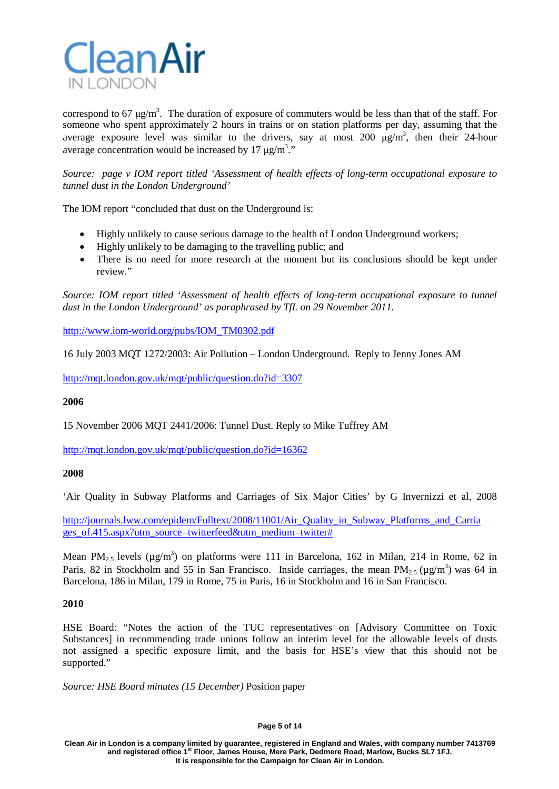

correspond to 67  $\mu$ g/m<sup>3</sup>. The duration of exposure of commuters would be less than that of the staff. For someone who spent approximately 2 hours in trains or on station platforms per day, assuming that the average exposure level was similar to the drivers, say at most 200  $\mu$ g/m<sup>3</sup>, then their 24-hour average concentration would be increased by 17  $\mu$ g/m<sup>3</sup>."

*Source: page v IOM report titled 'Assessment of health effects of long-term occupational exposure to tunnel dust in the London Underground'*

The IOM report "concluded that dust on the Underground is:

- Highly unlikely to cause serious damage to the health of London Underground workers;
- Highly unlikely to be damaging to the travelling public; and
- There is no need for more research at the moment but its conclusions should be kept under review."

*Source: IOM report titled 'Assessment of health effects of long-term occupational exposure to tunnel dust in the London Underground' as paraphrased by TfL on 29 November 2011.*

[http://www.iom-world.org/pubs/IOM\\_TM0302.pdf](http://www.iom-world.org/pubs/IOM_TM0302.pdf)

16 July 2003 MQT 1272/2003: Air Pollution – London Underground. Reply to Jenny Jones AM

<http://mqt.london.gov.uk/mqt/public/question.do?id=3307>

### **2006**

15 November 2006 MQT 2441/2006: Tunnel Dust. Reply to Mike Tuffrey AM

<http://mqt.london.gov.uk/mqt/public/question.do?id=16362>

### **2008**

'Air Quality in Subway Platforms and Carriages of Six Major Cities' by G Invernizzi et al, 2008

[http://journals.lww.com/epidem/Fulltext/2008/11001/Air\\_Quality\\_in\\_Subway\\_Platforms\\_and\\_Carria](http://journals.lww.com/epidem/Fulltext/2008/11001/Air_Quality_in_Subway_Platforms_and_Carriages_of.415.aspx?utm_source=twitterfeed&utm_medium=twitter) [ges\\_of.415.aspx?utm\\_source=twitterfeed&utm\\_medium=twitter#](http://journals.lww.com/epidem/Fulltext/2008/11001/Air_Quality_in_Subway_Platforms_and_Carriages_of.415.aspx?utm_source=twitterfeed&utm_medium=twitter)

Mean PM<sub>2.5</sub> levels ( $\mu$ g/m<sup>3</sup>) on platforms were 111 in Barcelona, 162 in Milan, 214 in Rome, 62 in Paris, 82 in Stockholm and 55 in San Francisco. Inside carriages, the mean  $PM_{2.5}$  ( $\mu$ g/m<sup>3</sup>) was 64 in Barcelona, 186 in Milan, 179 in Rome, 75 in Paris, 16 in Stockholm and 16 in San Francisco.

### **2010**

HSE Board: "Notes the action of the TUC representatives on [Advisory Committee on Toxic Substances] in recommending trade unions follow an interim level for the allowable levels of dusts not assigned a specific exposure limit, and the basis for HSE's view that this should not be supported."

*Source: HSE Board minutes (15 December)* Position paper

#### **Page 5 of 14**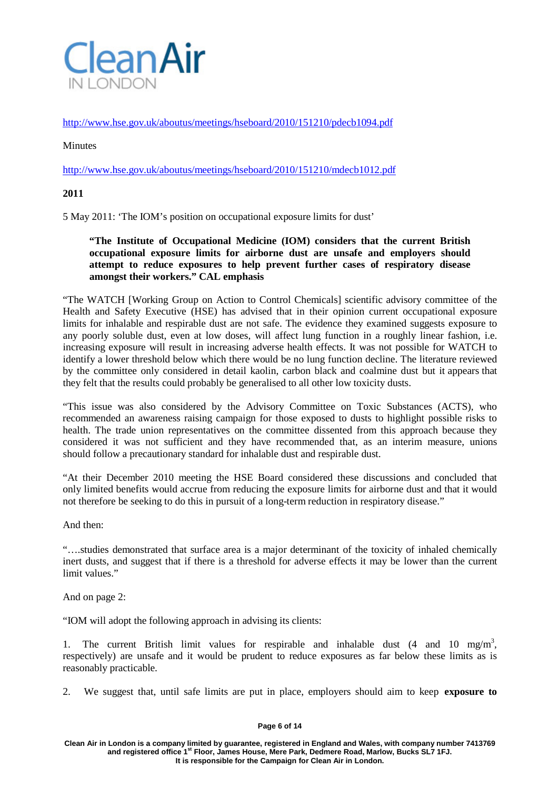

<http://www.hse.gov.uk/aboutus/meetings/hseboard/2010/151210/pdecb1094.pdf>

# **Minutes**

<http://www.hse.gov.uk/aboutus/meetings/hseboard/2010/151210/mdecb1012.pdf>

### **2011**

5 May 2011: 'The IOM's position on occupational exposure limits for dust'

# **"The Institute of Occupational Medicine (IOM) considers that the current British occupational exposure limits for airborne dust are unsafe and employers should attempt to reduce exposures to help prevent further cases of respiratory disease amongst their workers." CAL emphasis**

"The WATCH [Working Group on Action to Control Chemicals] scientific advisory committee of the Health and Safety Executive (HSE) has advised that in their opinion current occupational exposure limits for inhalable and respirable dust are not safe. The evidence they examined suggests exposure to any poorly soluble dust, even at low doses, will affect lung function in a roughly linear fashion, i.e. increasing exposure will result in increasing adverse health effects. It was not possible for WATCH to identify a lower threshold below which there would be no lung function decline. The literature reviewed by the committee only considered in detail kaolin, carbon black and coalmine dust but it appears that they felt that the results could probably be generalised to all other low toxicity dusts.

"This issue was also considered by the Advisory Committee on Toxic Substances (ACTS), who recommended an awareness raising campaign for those exposed to dusts to highlight possible risks to health. The trade union representatives on the committee dissented from this approach because they considered it was not sufficient and they have recommended that, as an interim measure, unions should follow a precautionary standard for inhalable dust and respirable dust.

"At their December 2010 meeting the HSE Board considered these discussions and concluded that only limited benefits would accrue from reducing the exposure limits for airborne dust and that it would not therefore be seeking to do this in pursuit of a long-term reduction in respiratory disease."

And then:

"….studies demonstrated that surface area is a major determinant of the toxicity of inhaled chemically inert dusts, and suggest that if there is a threshold for adverse effects it may be lower than the current limit values."

And on page 2:

"IOM will adopt the following approach in advising its clients:

1. The current British limit values for respirable and inhalable dust  $(4 \text{ and } 10 \text{ mg/m}^3)$ , respectively) are unsafe and it would be prudent to reduce exposures as far below these limits as is reasonably practicable.

2. We suggest that, until safe limits are put in place, employers should aim to keep **exposure to** 

#### **Page 6 of 14**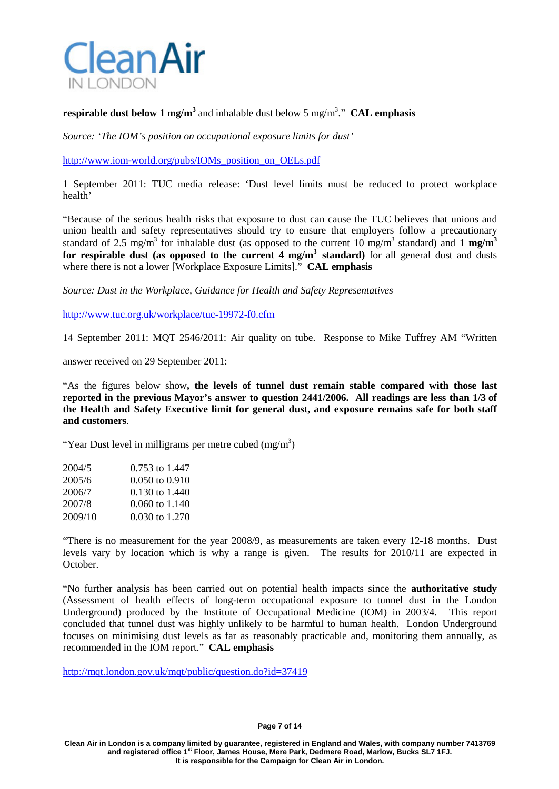

# **respirable dust below 1 mg/m<sup>3</sup>** and inhalable dust below 5 mg/m3 ." **CAL emphasis**

*Source: 'The IOM's position on occupational exposure limits for dust'*

[http://www.iom-world.org/pubs/IOMs\\_position\\_on\\_OELs.pdf](http://www.iom-world.org/pubs/IOMs_position_on_OELs.pdf)

1 September 2011: TUC media release: 'Dust level limits must be reduced to protect workplace health'

"Because of the serious health risks that exposure to dust can cause the TUC believes that unions and union health and safety representatives should try to ensure that employers follow a precautionary standard of 2.5 mg/m<sup>3</sup> for inhalable dust (as opposed to the current 10 mg/m<sup>3</sup> standard) and 1 mg/m<sup>3</sup> **for respirable dust (as opposed to the current 4 mg/m3 standard)** for all general dust and dusts where there is not a lower [Workplace Exposure Limits]." **CAL emphasis**

*Source: Dust in the Workplace, Guidance for Health and Safety Representatives*

<http://www.tuc.org.uk/workplace/tuc-19972-f0.cfm>

14 September 2011: MQT 2546/2011: Air quality on tube. Response to Mike Tuffrey AM "Written

answer received on 29 September 2011:

"As the figures below show**, the levels of tunnel dust remain stable compared with those last reported in the previous Mayor's answer to question 2441/2006. All readings are less than 1/3 of the Health and Safety Executive limit for general dust, and exposure remains safe for both staff and customers**.

"Year Dust level in milligrams per metre cubed  $(mg/m<sup>3</sup>)$ 

| 2004/5  | 0.753 to 1.447     |
|---------|--------------------|
| 2005/6  | $0.050$ to $0.910$ |
| 2006/7  | 0.130 to 1.440     |
| 2007/8  | $0.060$ to $1.140$ |
| 2009/10 | 0.030 to 1.270     |

"There is no measurement for the year 2008/9, as measurements are taken every 12-18 months. Dust levels vary by location which is why a range is given. The results for 2010/11 are expected in October.

"No further analysis has been carried out on potential health impacts since the **authoritative study** (Assessment of health effects of long-term occupational exposure to tunnel dust in the London Underground) produced by the Institute of Occupational Medicine (IOM) in 2003/4. This report concluded that tunnel dust was highly unlikely to be harmful to human health. London Underground focuses on minimising dust levels as far as reasonably practicable and, monitoring them annually, as recommended in the IOM report." **CAL emphasis**

<http://mqt.london.gov.uk/mqt/public/question.do?id=37419>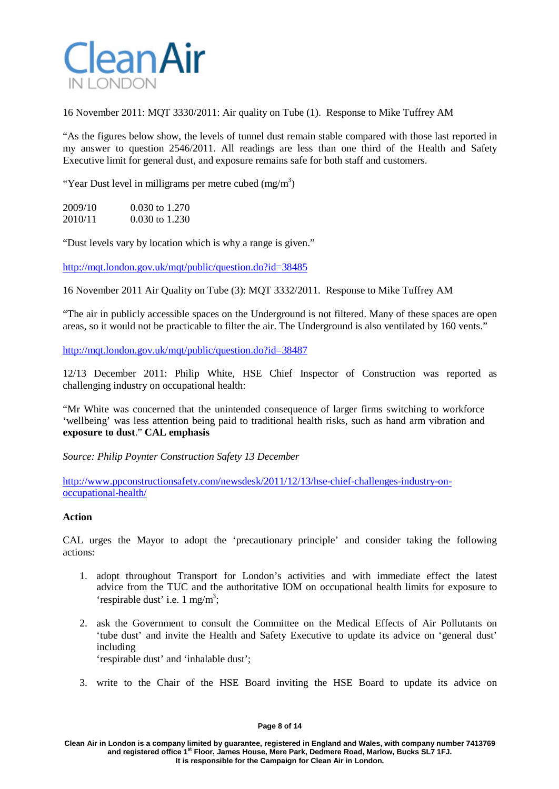

16 November 2011: MQT 3330/2011: Air quality on Tube (1). Response to Mike Tuffrey AM

"As the figures below show, the levels of tunnel dust remain stable compared with those last reported in my answer to question 2546/2011. All readings are less than one third of the Health and Safety Executive limit for general dust, and exposure remains safe for both staff and customers.

"Year Dust level in milligrams per metre cubed  $(mg/m<sup>3</sup>)$ 

| 2009/10 | $0.030$ to 1.270 |
|---------|------------------|
| 2010/11 | $0.030$ to 1.230 |

"Dust levels vary by location which is why a range is given."

<http://mqt.london.gov.uk/mqt/public/question.do?id=38485>

16 November 2011 Air Quality on Tube (3): MQT 3332/2011. Response to Mike Tuffrey AM

"The air in publicly accessible spaces on the Underground is not filtered. Many of these spaces are open areas, so it would not be practicable to filter the air. The Underground is also ventilated by 160 vents."

<http://mqt.london.gov.uk/mqt/public/question.do?id=38487>

12/13 December 2011: Philip White, HSE Chief Inspector of Construction was reported as challenging industry on occupational health:

"Mr White was concerned that the unintended consequence of larger firms switching to workforce 'wellbeing' was less attention being paid to [traditional](http://www.hse.gov.uk/construction/healthtopics/index.htm) health risks, such as hand arm vibration and **exposure to dust**." **CAL emphasis**

*Source: Philip Poynter Construction Safety 13 December*

[http://www.ppconstructionsafety.com/newsdesk/2011/12/13/hse-chief-challenges-industry-on](http://www.ppconstructionsafety.com/newsdesk/2011/12/13/hse-chief-challenges-industry-on-occupational-health/)[occupational-health/](http://www.ppconstructionsafety.com/newsdesk/2011/12/13/hse-chief-challenges-industry-on-occupational-health/)

### **Action**

CAL urges the Mayor to adopt the 'precautionary principle' and consider taking the following actions:

- 1. adopt throughout Transport for London's activities and with immediate effect the latest advice from the TUC and the authoritative IOM on occupational health limits for exposure to 'respirable dust' i.e. 1 mg/m<sup>3</sup>;
- 2. ask the Government to consult the Committee on the Medical Effects of Air Pollutants on 'tube dust' and invite the Health and Safety Executive to update its advice on 'general dust' including 'respirable dust' and 'inhalable dust';
- 3. write to the Chair of the HSE Board inviting the HSE Board to update its advice on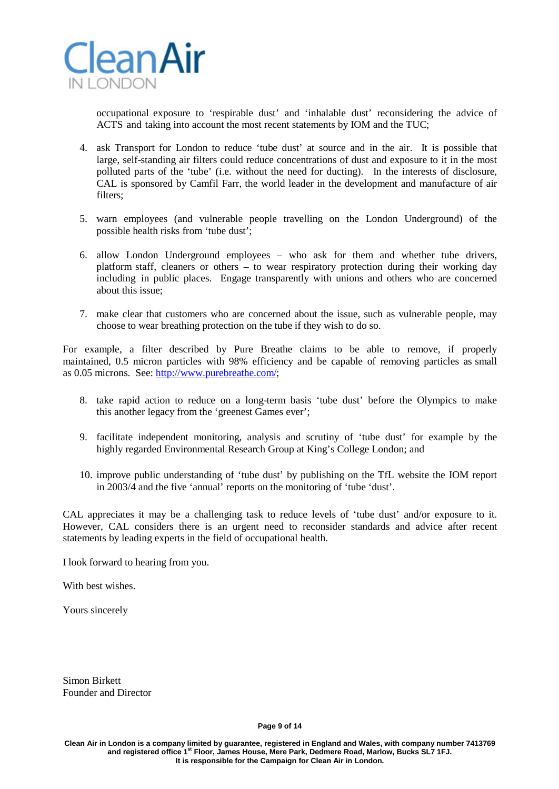

occupational exposure to 'respirable dust' and 'inhalable dust' reconsidering the advice of ACTS and taking into account the most recent statements by IOM and the TUC;

- 4. ask Transport for London to reduce 'tube dust' at source and in the air. It is possible that large, self-standing air filters could reduce concentrations of dust and exposure to it in the most polluted parts of the 'tube' (i.e. without the need for ducting). In the interests of disclosure, CAL is sponsored by Camfil Farr, the world leader in the development and manufacture of air filters;
- 5. warn employees (and vulnerable people travelling on the London Underground) of the possible health risks from 'tube dust';
- 6. allow London Underground employees who ask for them and whether tube drivers, platform staff, cleaners or others – to wear respiratory protection during their working day including in public places. Engage transparently with unions and others who are concerned about this issue;
- 7. make clear that customers who are concerned about the issue, such as vulnerable people, may choose to wear breathing protection on the tube if they wish to do so.

For example, a filter described by Pure Breathe claims to be able to remove, if properly maintained, 0.5 micron particles with 98% efficiency and be capable of removing particles as small as 0.05 microns. See: [http://www.purebreathe.com/;](http://www.purebreathe.com/)

- 8. take rapid action to reduce on a long-term basis 'tube dust' before the Olympics to make this another legacy from the 'greenest Games ever';
- 9. facilitate independent monitoring, analysis and scrutiny of 'tube dust' for example by the highly regarded Environmental Research Group at King's College London; and
- 10. improve public understanding of 'tube dust' by publishing on the TfL website the IOM report in 2003/4 and the five 'annual' reports on the monitoring of 'tube 'dust'.

CAL appreciates it may be a challenging task to reduce levels of 'tube dust' and/or exposure to it. However, CAL considers there is an urgent need to reconsider standards and advice after recent statements by leading experts in the field of occupational health.

I look forward to hearing from you.

With best wishes.

Yours sincerely

Simon Birkett Founder and Director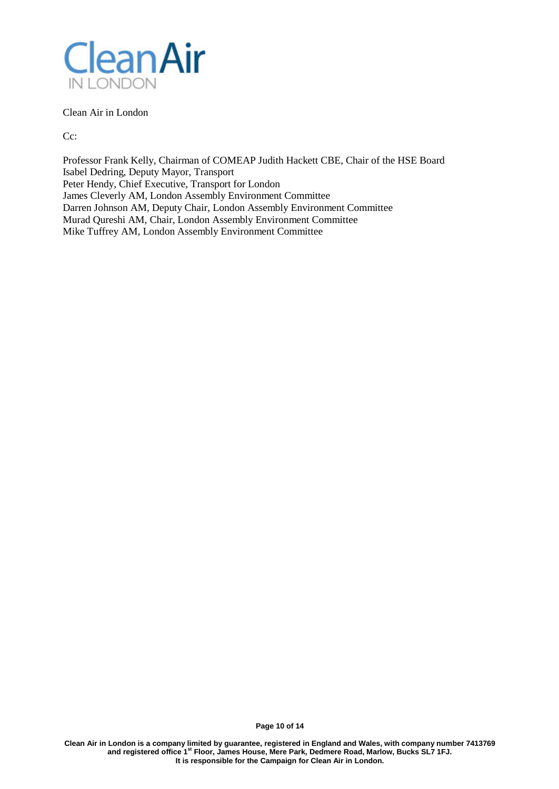

Clean Air in London

Cc:

Professor Frank Kelly, Chairman of COMEAP Judith Hackett CBE, Chair of the HSE Board Isabel Dedring, Deputy Mayor, Transport Peter Hendy, Chief Executive, Transport for London James Cleverly AM, London Assembly Environment Committee Darren Johnson AM, Deputy Chair, London Assembly Environment Committee Murad Qureshi AM, Chair, London Assembly Environment Committee Mike Tuffrey AM, London Assembly Environment Committee

**Page 10 of 14**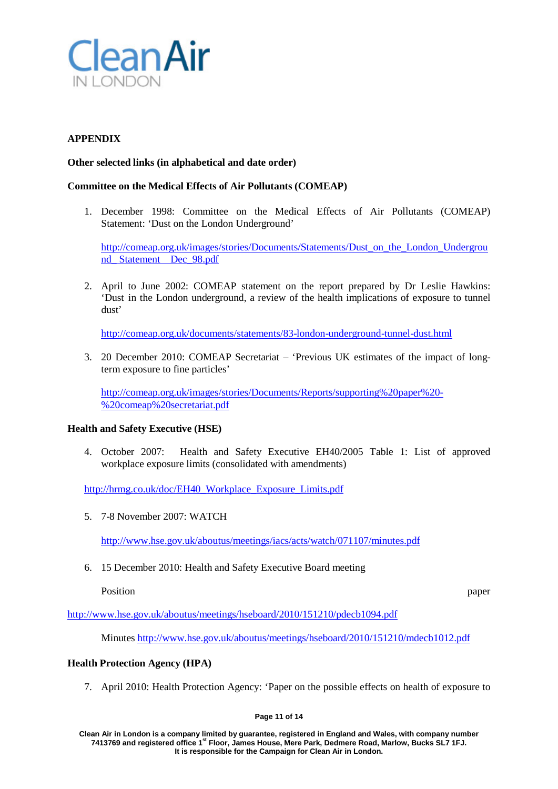

# **APPENDIX**

# **Other selected links (in alphabetical and date order)**

# **Committee on the Medical Effects of Air Pollutants (COMEAP)**

1. December 1998: Committee on the Medical Effects of Air Pollutants (COMEAP) Statement: 'Dust on the London Underground'

[http://comeap.org.uk/images/stories/Documents/Statements/Dust\\_on\\_the\\_London\\_Undergrou](http://comeap.org.uk/images/stories/Documents/Statements/Dust_on_the_London_Underground_) [nd\\_](http://comeap.org.uk/images/stories/Documents/Statements/Dust_on_the_London_Underground_) [Statement Dec\\_98.pdf](http://comeap.org.uk/images/stories/Documents/Statements/Dust_on_the_London_Underground_Statement__Dec_98.pdf)

2. April to June 2002: COMEAP statement on the report prepared by Dr Leslie Hawkins: 'Dust in the London underground, a review of the health implications of exposure to tunnel dust'

<http://comeap.org.uk/documents/statements/83-london-underground-tunnel-dust.html>

3. 20 December 2010: COMEAP Secretariat – 'Previous UK estimates of the impact of longterm exposure to fine particles'

[http://comeap.org.uk/images/stories/Documents/Reports/supporting%20paper%20-](http://comeap.org.uk/images/stories/Documents/Reports/supporting%20paper%20-%20comeap%20secretariat.pdf) [%20comeap%20secretariat.pdf](http://comeap.org.uk/images/stories/Documents/Reports/supporting%20paper%20-%20comeap%20secretariat.pdf)

### **Health and Safety Executive (HSE)**

4. October 2007: Health and Safety Executive EH40/2005 Table 1: List of approved workplace exposure limits (consolidated with amendments)

[http://hrmg.co.uk/doc/EH40\\_Workplace\\_Exposure\\_Limits.pdf](http://hrmg.co.uk/doc/EH40_Workplace_Exposure_Limits.pdf)

5. 7-8 November 2007: WATCH

<http://www.hse.gov.uk/aboutus/meetings/iacs/acts/watch/071107/minutes.pdf>

6. 15 December 2010: Health and Safety Executive Board meeting

Position paper

<http://www.hse.gov.uk/aboutus/meetings/hseboard/2010/151210/pdecb1094.pdf>

Minute[s http://www.hse.gov.uk/aboutus/meetings/hseboard/2010/151210/mdecb1012.pdf](http://www.hse.gov.uk/aboutus/meetings/hseboard/2010/151210/mdecb1012.pdf)

### **Health Protection Agency (HPA)**

7. April 2010: Health Protection Agency: 'Paper on the possible effects on health of exposure to

**Page 11 of 14**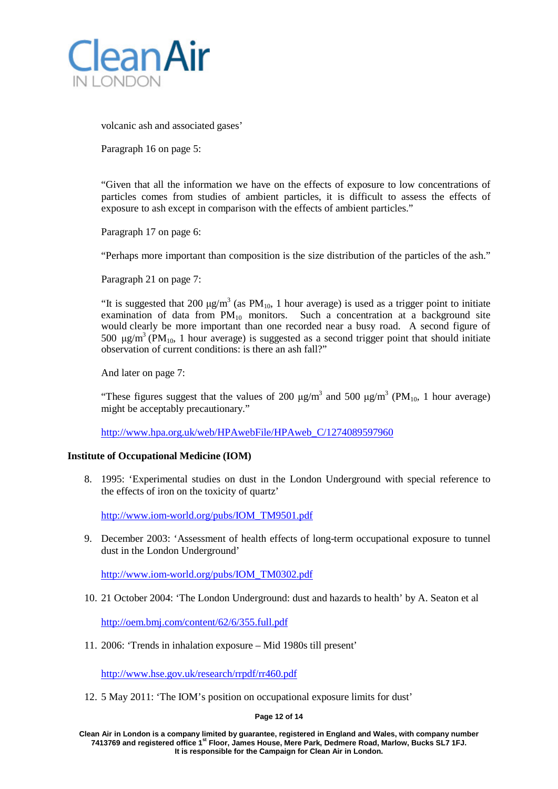

volcanic ash and associated gases'

Paragraph 16 on page 5:

"Given that all the information we have on the effects of exposure to low concentrations of particles comes from studies of ambient particles, it is difficult to assess the effects of exposure to ash except in comparison with the effects of ambient particles."

Paragraph 17 on page 6:

"Perhaps more important than composition is the size distribution of the particles of the ash."

Paragraph 21 on page 7:

"It is suggested that 200  $\mu$ g/m<sup>3</sup> (as PM<sub>10</sub>, 1 hour average) is used as a trigger point to initiate examination of data from  $PM_{10}$  monitors. Such a concentration at a background site would clearly be more important than one recorded near a busy road. A second figure of 500 μg/m<sup>3</sup> (PM<sub>10</sub>, 1 hour average) is suggested as a second trigger point that should initiate observation of current conditions: is there an ash fall?"

And later on page 7:

"These figures suggest that the values of 200  $\mu$ g/m<sup>3</sup> and 500  $\mu$ g/m<sup>3</sup> (PM<sub>10</sub>, 1 hour average) might be acceptably precautionary."

[http://www.hpa.org.uk/web/HPAwebFile/HPAweb\\_C/1274089597960](http://www.hpa.org.uk/web/HPAwebFile/HPAweb_C/1274089597960)

### **Institute of Occupational Medicine (IOM)**

8. 1995: 'Experimental studies on dust in the London Underground with special reference to the effects of iron on the toxicity of quartz'

[http://www.iom-world.org/pubs/IOM\\_TM9501.pdf](http://www.iom-world.org/pubs/IOM_TM9501.pdf)

9. December 2003: 'Assessment of health effects of long-term occupational exposure to tunnel dust in the London Underground'

[http://www.iom-world.org/pubs/IOM\\_TM0302.pdf](http://www.iom-world.org/pubs/IOM_TM0302.pdf)

10. 21 October 2004: 'The London Underground: dust and hazards to health' by A. Seaton et al

<http://oem.bmj.com/content/62/6/355.full.pdf>

11. 2006: 'Trends in inhalation exposure – Mid 1980s till present'

<http://www.hse.gov.uk/research/rrpdf/rr460.pdf>

12. 5 May 2011: 'The IOM's position on occupational exposure limits for dust'

### **Page 12 of 14**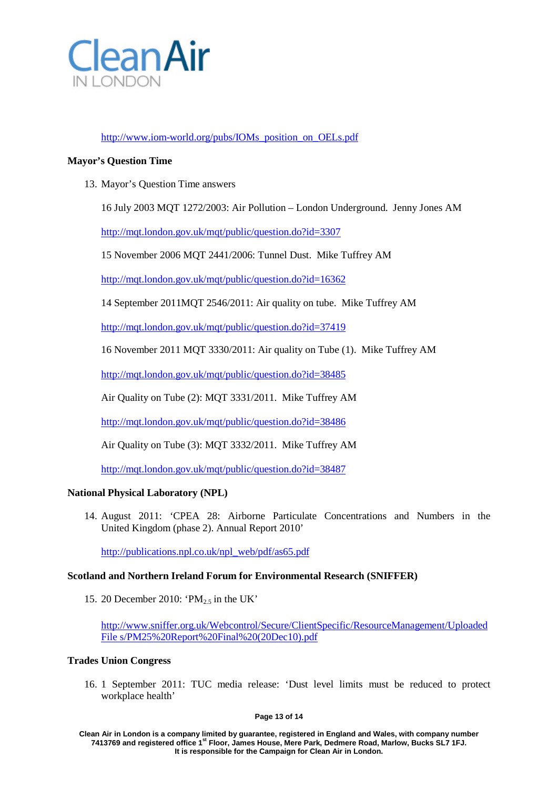

# [http://www.iom-world.org/pubs/IOMs\\_position\\_on\\_OELs.pdf](http://www.iom-world.org/pubs/IOMs_position_on_OELs.pdf)

# **Mayor's Question Time**

13. Mayor's Question Time answers

16 July 2003 MQT 1272/2003: Air Pollution – London Underground. Jenny Jones AM

<http://mqt.london.gov.uk/mqt/public/question.do?id=3307>

15 November 2006 MQT 2441/2006: Tunnel Dust. Mike Tuffrey AM

<http://mqt.london.gov.uk/mqt/public/question.do?id=16362>

14 September 2011MQT 2546/2011: Air quality on tube. Mike Tuffrey AM

<http://mqt.london.gov.uk/mqt/public/question.do?id=37419>

16 November 2011 MQT 3330/2011: Air quality on Tube (1). Mike Tuffrey AM

<http://mqt.london.gov.uk/mqt/public/question.do?id=38485>

Air Quality on Tube (2): MQT 3331/2011. Mike Tuffrey AM

<http://mqt.london.gov.uk/mqt/public/question.do?id=38486>

Air Quality on Tube (3): MQT 3332/2011. Mike Tuffrey AM

<http://mqt.london.gov.uk/mqt/public/question.do?id=38487>

### **National Physical Laboratory (NPL)**

14. August 2011: 'CPEA 28: Airborne Particulate Concentrations and Numbers in the United Kingdom (phase 2). Annual Report 2010'

[http://publications.npl.co.uk/npl\\_web/pdf/as65.pdf](http://publications.npl.co.uk/npl_web/pdf/as65.pdf)

### **Scotland and Northern Ireland Forum for Environmental Research (SNIFFER)**

15. 20 December 2010: ' $PM_{2.5}$  in the UK'

[http://www.sniffer.org.uk/Webcontrol/Secure/ClientSpecific/ResourceManagement/Uploaded](http://www.sniffer.org.uk/Webcontrol/Secure/ClientSpecific/ResourceManagement/UploadedFile) [File](http://www.sniffer.org.uk/Webcontrol/Secure/ClientSpecific/ResourceManagement/UploadedFile) [s/PM25%20Report%20Final%20\(20Dec10\).pdf](http://www.sniffer.org.uk/Webcontrol/Secure/ClientSpecific/ResourceManagement/UploadedFiles/PM25%20Report%20Final%20(20Dec10).pdf)

### **Trades Union Congress**

16. 1 September 2011: TUC media release: 'Dust level limits must be reduced to protect workplace health'

**Page 13 of 14**